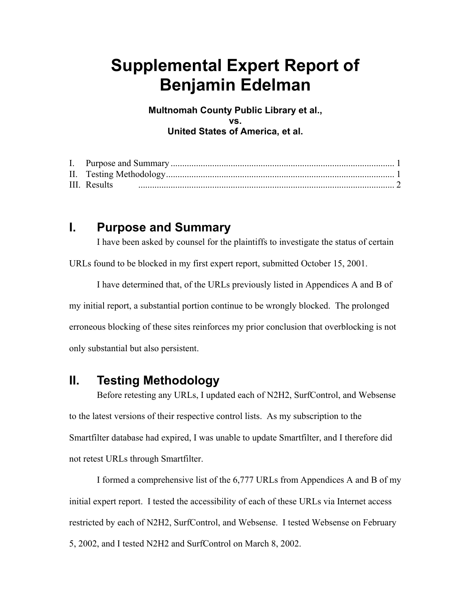## **Supplemental Expert Report of Benjamin Edelman**

**Multnomah County Public Library et al., vs. United States of America, et al.** 

## **I. Purpose and Summary**

I have been asked by counsel for the plaintiffs to investigate the status of certain

URLs found to be blocked in my first expert report, submitted October 15, 2001.

I have determined that, of the URLs previously listed in Appendices A and B of my initial report, a substantial portion continue to be wrongly blocked. The prolonged erroneous blocking of these sites reinforces my prior conclusion that overblocking is not only substantial but also persistent.

## **II. Testing Methodology**

Before retesting any URLs, I updated each of N2H2, SurfControl, and Websense to the latest versions of their respective control lists. As my subscription to the Smartfilter database had expired, I was unable to update Smartfilter, and I therefore did not retest URLs through Smartfilter.

I formed a comprehensive list of the 6,777 URLs from Appendices A and B of my initial expert report. I tested the accessibility of each of these URLs via Internet access restricted by each of N2H2, SurfControl, and Websense. I tested Websense on February 5, 2002, and I tested N2H2 and SurfControl on March 8, 2002.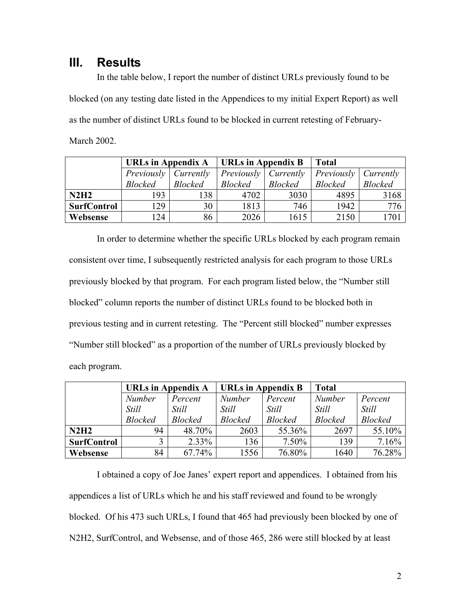## **III. Results**

In the table below, I report the number of distinct URLs previously found to be blocked (on any testing date listed in the Appendices to my initial Expert Report) as well as the number of distinct URLs found to be blocked in current retesting of February-March 2002.

|                    | URLs in Appendix A |                | <b>URLs in Appendix B</b> |                | <b>Total</b>                         |                |
|--------------------|--------------------|----------------|---------------------------|----------------|--------------------------------------|----------------|
|                    | Previously         | Currently      | Previously                | Currently      | <i>Previously</i>   <i>Currently</i> |                |
|                    | <b>Blocked</b>     | <b>Blocked</b> | <b>Blocked</b>            | <b>Blocked</b> | <b>Blocked</b>                       | <b>Blocked</b> |
| N2H2               | 193                | 138            | 4702                      | 3030           | 4895                                 | 3168           |
| <b>SurfControl</b> | 129                | 30             | 1813                      | 746            | 1942                                 | 776            |
| Websense           | 124                | 86             | 2026                      | 1615           | 2150                                 | 701            |

In order to determine whether the specific URLs blocked by each program remain consistent over time, I subsequently restricted analysis for each program to those URLs previously blocked by that program. For each program listed below, the "Number still blocked" column reports the number of distinct URLs found to be blocked both in previous testing and in current retesting. The "Percent still blocked" number expresses "Number still blocked" as a proportion of the number of URLs previously blocked by each program.

|                    | <b>URLs in Appendix A</b> |                | URLs in Appendix B |                | <b>Total</b>   |                |
|--------------------|---------------------------|----------------|--------------------|----------------|----------------|----------------|
|                    | <b>Number</b>             | Percent        | <b>Number</b>      | Percent        | <b>Number</b>  | Percent        |
|                    | <b>Still</b>              | <b>Still</b>   | Still              | <i>Still</i>   | <b>Still</b>   | <b>Still</b>   |
|                    | <b>Blocked</b>            | <b>Blocked</b> | <b>Blocked</b>     | <b>Blocked</b> | <b>Blocked</b> | <b>Blocked</b> |
| N2H2               | 94                        | 48.70%         | 2603               | 55.36%         | 2697           | 55.10%         |
| <b>SurfControl</b> |                           | $2.33\%$       | 136                | $7.50\%$       | 139            | 7.16%          |
| Websense           | 84                        | 67.74%         | 1556               | 76.80%         | 1640           | 76.28%         |

I obtained a copy of Joe Janes' expert report and appendices. I obtained from his appendices a list of URLs which he and his staff reviewed and found to be wrongly blocked. Of his 473 such URLs, I found that 465 had previously been blocked by one of N2H2, SurfControl, and Websense, and of those 465, 286 were still blocked by at least